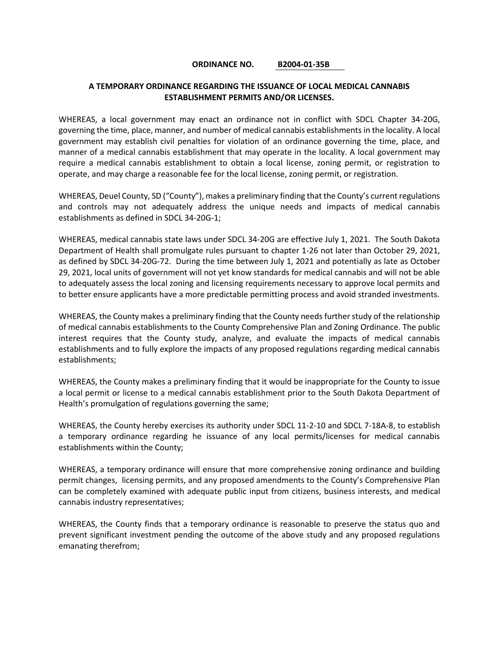## **ORDINANCE NO. B2004-01-35B**

## **A TEMPORARY ORDINANCE REGARDING THE ISSUANCE OF LOCAL MEDICAL CANNABIS ESTABLISHMENT PERMITS AND/OR LICENSES.**

WHEREAS, a local government may enact an ordinance not in conflict with SDCL Chapter 34-20G, governing the time, place, manner, and number of medical cannabis establishments in the locality. A local government may establish civil penalties for violation of an ordinance governing the time, place, and manner of a medical cannabis establishment that may operate in the locality. A local government may require a medical cannabis establishment to obtain a local license, zoning permit, or registration to operate, and may charge a reasonable fee for the local license, zoning permit, or registration.

WHEREAS, Deuel County, SD ("County"), makes a preliminary finding that the County's current regulations and controls may not adequately address the unique needs and impacts of medical cannabis establishments as defined in SDCL 34-20G-1;

WHEREAS, medical cannabis state laws under SDCL 34-20G are effective July 1, 2021. The South Dakota Department of Health shall promulgate rules pursuant to chapter 1-26 not later than October 29, 2021, as defined by SDCL 34-20G-72. During the time between July 1, 2021 and potentially as late as October 29, 2021, local units of government will not yet know standards for medical cannabis and will not be able to adequately assess the local zoning and licensing requirements necessary to approve local permits and to better ensure applicants have a more predictable permitting process and avoid stranded investments.

WHEREAS, the County makes a preliminary finding that the County needs further study of the relationship of medical cannabis establishments to the County Comprehensive Plan and Zoning Ordinance. The public interest requires that the County study, analyze, and evaluate the impacts of medical cannabis establishments and to fully explore the impacts of any proposed regulations regarding medical cannabis establishments;

WHEREAS, the County makes a preliminary finding that it would be inappropriate for the County to issue a local permit or license to a medical cannabis establishment prior to the South Dakota Department of Health's promulgation of regulations governing the same;

WHEREAS, the County hereby exercises its authority under SDCL 11-2-10 and SDCL 7-18A-8, to establish a temporary ordinance regarding he issuance of any local permits/licenses for medical cannabis establishments within the County;

WHEREAS, a temporary ordinance will ensure that more comprehensive zoning ordinance and building permit changes, licensing permits, and any proposed amendments to the County's Comprehensive Plan can be completely examined with adequate public input from citizens, business interests, and medical cannabis industry representatives;

WHEREAS, the County finds that a temporary ordinance is reasonable to preserve the status quo and prevent significant investment pending the outcome of the above study and any proposed regulations emanating therefrom;